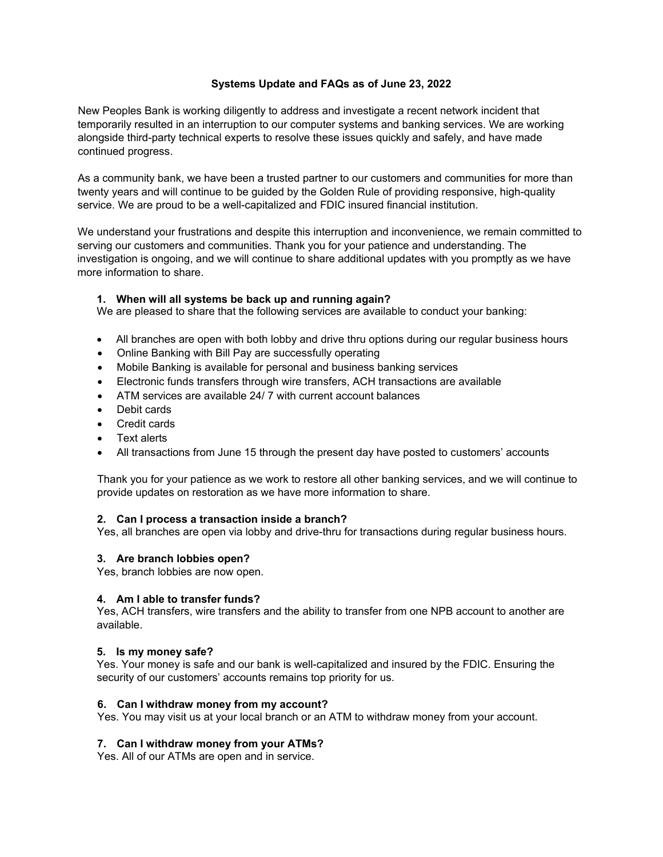# **Systems Update and FAQs as of June 23, 2022**

New Peoples Bank is working diligently to address and investigate a recent network incident that temporarily resulted in an interruption to our computer systems and banking services. We are working alongside third-party technical experts to resolve these issues quickly and safely, and have made continued progress.

As a community bank, we have been a trusted partner to our customers and communities for more than twenty years and will continue to be guided by the Golden Rule of providing responsive, high-quality service. We are proud to be a well-capitalized and FDIC insured financial institution.

We understand your frustrations and despite this interruption and inconvenience, we remain committed to serving our customers and communities. Thank you for your patience and understanding. The investigation is ongoing, and we will continue to share additional updates with you promptly as we have more information to share.

# **1. When will all systems be back up and running again?**

We are pleased to share that the following services are available to conduct your banking:

- All branches are open with both lobby and drive thru options during our regular business hours
- Online Banking with Bill Pay are successfully operating
- Mobile Banking is available for personal and business banking services
- Electronic funds transfers through wire transfers, ACH transactions are available
- ATM services are available 24/ 7 with current account balances
- Debit cards
- Credit cards
- **Text alerts**
- All transactions from June 15 through the present day have posted to customers' accounts

Thank you for your patience as we work to restore all other banking services, and we will continue to provide updates on restoration as we have more information to share.

#### **2. Can I process a transaction inside a branch?**

Yes, all branches are open via lobby and drive-thru for transactions during regular business hours.

#### **3. Are branch lobbies open?**

Yes, branch lobbies are now open.

### **4. Am I able to transfer funds?**

Yes, ACH transfers, wire transfers and the ability to transfer from one NPB account to another are available.

#### **5. Is my money safe?**

Yes. Your money is safe and our bank is well-capitalized and insured by the FDIC. Ensuring the security of our customers' accounts remains top priority for us.

#### **6. Can I withdraw money from my account?**

Yes. You may visit us at your local branch or an ATM to withdraw money from your account.

#### **7. Can I withdraw money from your ATMs?**

Yes. All of our ATMs are open and in service.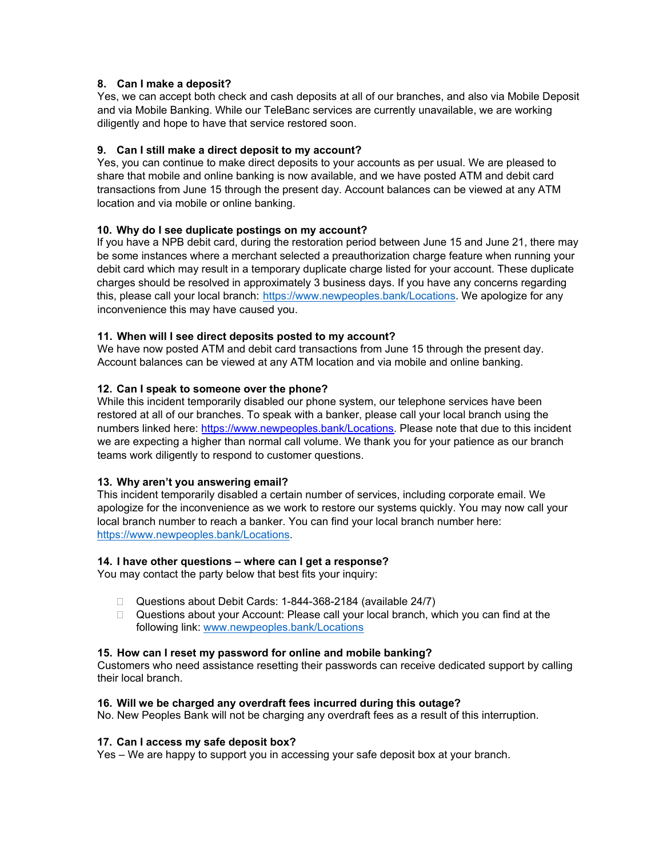# **8. Can I make a deposit?**

Yes, we can accept both check and cash deposits at all of our branches, and also via Mobile Deposit and via Mobile Banking. While our TeleBanc services are currently unavailable, we are working diligently and hope to have that service restored soon.

# **9. Can I still make a direct deposit to my account?**

Yes, you can continue to make direct deposits to your accounts as per usual. We are pleased to share that mobile and online banking is now available, and we have posted ATM and debit card transactions from June 15 through the present day. Account balances can be viewed at any ATM location and via mobile or online banking.

## **10. Why do I see duplicate postings on my account?**

If you have a NPB debit card, during the restoration period between June 15 and June 21, there may be some instances where a merchant selected a preauthorization charge feature when running your debit card which may result in a temporary duplicate charge listed for your account. These duplicate charges should be resolved in approximately 3 business days. If you have any concerns regarding this, please call your local branch: [https://www.newpeoples.bank/Locations.](https://www.newpeoples.bank/Locations) We apologize for any inconvenience this may have caused you.

## **11. When will I see direct deposits posted to my account?**

We have now posted ATM and debit card transactions from June 15 through the present day. Account balances can be viewed at any ATM location and via mobile and online banking.

## **12. Can I speak to someone over the phone?**

While this incident temporarily disabled our phone system, our telephone services have been restored at all of our branches. To speak with a banker, please call your local branch using the numbers linked here: [https://www.newpeoples.bank/Locations.](https://www.newpeoples.bank/Locations) Please note that due to this incident we are expecting a higher than normal call volume. We thank you for your patience as our branch teams work diligently to respond to customer questions.

#### **13. Why aren't you answering email?**

This incident temporarily disabled a certain number of services, including corporate email. We apologize for the inconvenience as we work to restore our systems quickly. You may now call your local branch number to reach a banker. You can find your local branch number here: [https://www.newpeoples.bank/Locations.](https://www.newpeoples.bank/Locations)

#### **14. I have other questions – where can I get a response?**

You may contact the party below that best fits your inquiry:

- Questions about Debit Cards: 1-844-368-2184 (available 24/7)
- $\Box$  Questions about your Account: Please call your local branch, which you can find at the following link: [www.newpeoples.bank/Locations](http://www.newpeoples.bank/Locations)

#### **15. How can I reset my password for online and mobile banking?**

Customers who need assistance resetting their passwords can receive dedicated support by calling their local branch.

#### **16. Will we be charged any overdraft fees incurred during this outage?**

No. New Peoples Bank will not be charging any overdraft fees as a result of this interruption.

#### **17. Can I access my safe deposit box?**

Yes – We are happy to support you in accessing your safe deposit box at your branch.